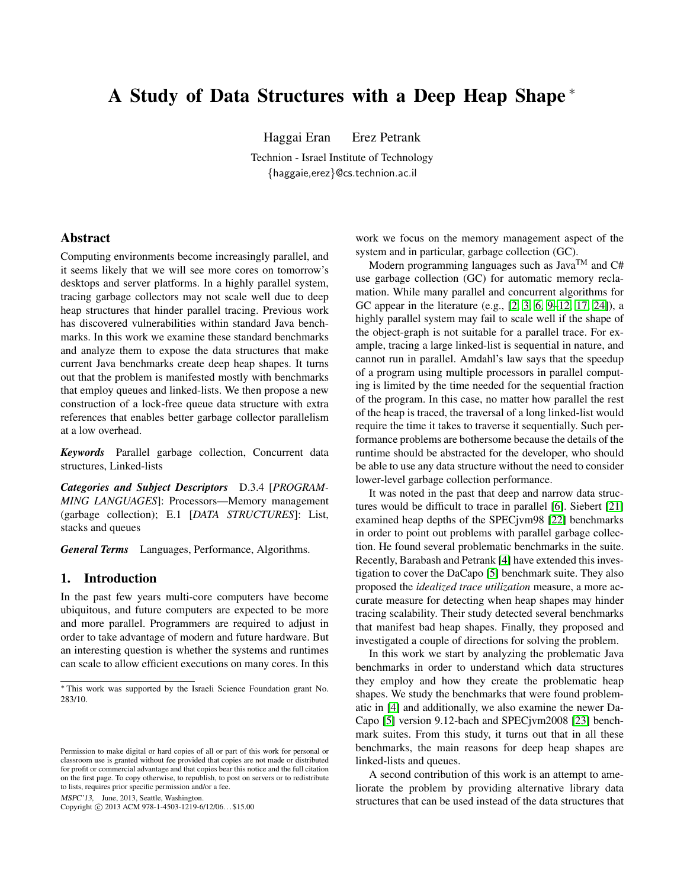# A Study of Data Structures with a Deep Heap Shape <sup>∗</sup>

Haggai Eran Erez Petrank

Technion - Israel Institute of Technology {haggaie,erez}@cs.technion.ac.il

# Abstract

Computing environments become increasingly parallel, and it seems likely that we will see more cores on tomorrow's desktops and server platforms. In a highly parallel system, tracing garbage collectors may not scale well due to deep heap structures that hinder parallel tracing. Previous work has discovered vulnerabilities within standard Java benchmarks. In this work we examine these standard benchmarks and analyze them to expose the data structures that make current Java benchmarks create deep heap shapes. It turns out that the problem is manifested mostly with benchmarks that employ queues and linked-lists. We then propose a new construction of a lock-free queue data structure with extra references that enables better garbage collector parallelism at a low overhead.

*Keywords* Parallel garbage collection, Concurrent data structures, Linked-lists

*Categories and Subject Descriptors* D.3.4 [*PROGRAM-MING LANGUAGES*]: Processors—Memory management (garbage collection); E.1 [*DATA STRUCTURES*]: List, stacks and queues

*General Terms* Languages, Performance, Algorithms.

## 1. Introduction

In the past few years multi-core computers have become ubiquitous, and future computers are expected to be more and more parallel. Programmers are required to adjust in order to take advantage of modern and future hardware. But an interesting question is whether the systems and runtimes can scale to allow efficient executions on many cores. In this

MSPC'13, June, 2013, Seattle, Washington.

Copyright © 2013 ACM 978-1-4503-1219-6/12/06... \$15.00

work we focus on the memory management aspect of the system and in particular, garbage collection (GC).

Modern programming languages such as Java<sup>TM</sup> and C# use garbage collection (GC) for automatic memory reclamation. While many parallel and concurrent algorithms for GC appear in the literature (e.g., [\[2,](#page-7-0) [3,](#page-7-1) [6,](#page-7-2) [9](#page-7-3)[–12,](#page-7-4) [17,](#page-7-5) [24\]](#page-7-6)), a highly parallel system may fail to scale well if the shape of the object-graph is not suitable for a parallel trace. For example, tracing a large linked-list is sequential in nature, and cannot run in parallel. Amdahl's law says that the speedup of a program using multiple processors in parallel computing is limited by the time needed for the sequential fraction of the program. In this case, no matter how parallel the rest of the heap is traced, the traversal of a long linked-list would require the time it takes to traverse it sequentially. Such performance problems are bothersome because the details of the runtime should be abstracted for the developer, who should be able to use any data structure without the need to consider lower-level garbage collection performance.

It was noted in the past that deep and narrow data structures would be difficult to trace in parallel [\[6\]](#page-7-2). Siebert [\[21\]](#page-7-7) examined heap depths of the SPECjvm98 [\[22\]](#page-7-8) benchmarks in order to point out problems with parallel garbage collection. He found several problematic benchmarks in the suite. Recently, Barabash and Petrank [\[4\]](#page-7-9) have extended this investigation to cover the DaCapo [\[5\]](#page-7-10) benchmark suite. They also proposed the *idealized trace utilization* measure, a more accurate measure for detecting when heap shapes may hinder tracing scalability. Their study detected several benchmarks that manifest bad heap shapes. Finally, they proposed and investigated a couple of directions for solving the problem.

In this work we start by analyzing the problematic Java benchmarks in order to understand which data structures they employ and how they create the problematic heap shapes. We study the benchmarks that were found problematic in [\[4\]](#page-7-9) and additionally, we also examine the newer Da-Capo [\[5\]](#page-7-10) version 9.12-bach and SPECjvm2008 [\[23\]](#page-7-11) benchmark suites. From this study, it turns out that in all these benchmarks, the main reasons for deep heap shapes are linked-lists and queues.

A second contribution of this work is an attempt to ameliorate the problem by providing alternative library data structures that can be used instead of the data structures that

<sup>∗</sup> This work was supported by the Israeli Science Foundation grant No. 283/10.

Permission to make digital or hard copies of all or part of this work for personal or classroom use is granted without fee provided that copies are not made or distributed for profit or commercial advantage and that copies bear this notice and the full citation on the first page. To copy otherwise, to republish, to post on servers or to redistribute to lists, requires prior specific permission and/or a fee.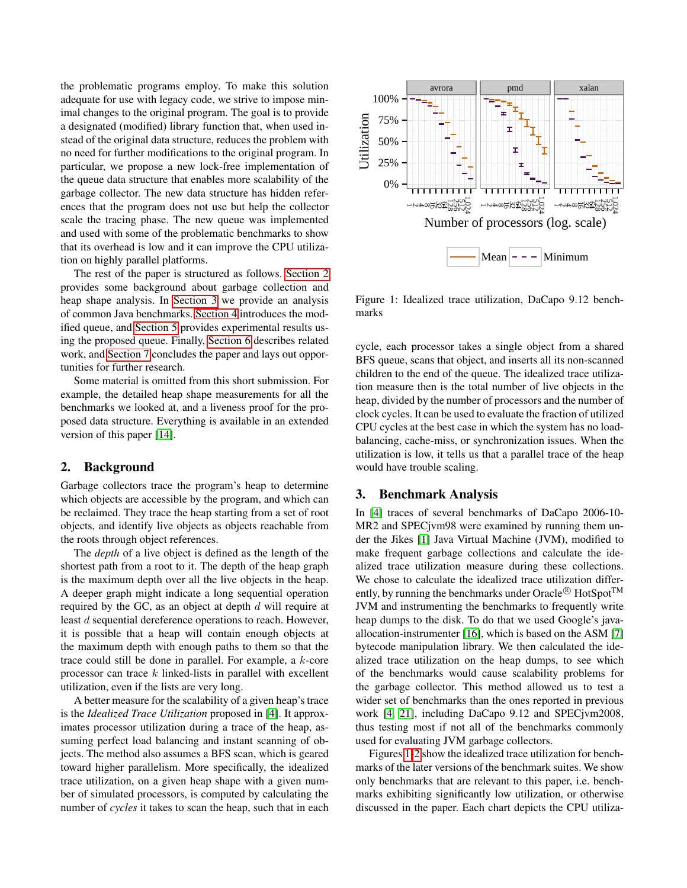the problematic programs employ. To make this solution adequate for use with legacy code, we strive to impose minimal changes to the original program. The goal is to provide a designated (modified) library function that, when used instead of the original data structure, reduces the problem with no need for further modifications to the original program. In particular, we propose a new lock-free implementation of the queue data structure that enables more scalability of the garbage collector. The new data structure has hidden references that the program does not use but help the collector scale the tracing phase. The new queue was implemented and used with some of the problematic benchmarks to show that its overhead is low and it can improve the CPU utilization on highly parallel platforms.

The rest of the paper is structured as follows. [Section 2](#page-1-0) provides some background about garbage collection and heap shape analysis. In [Section 3](#page-1-1) we provide an analysis of common Java benchmarks. [Section 4](#page-3-0) introduces the modified queue, and [Section 5](#page-4-0) provides experimental results using the proposed queue. Finally, [Section 6](#page-6-0) describes related work, and [Section 7](#page-7-12) concludes the paper and lays out opportunities for further research.

Some material is omitted from this short submission. For example, the detailed heap shape measurements for all the benchmarks we looked at, and a liveness proof for the proposed data structure. Everything is available in an extended version of this paper [\[14\]](#page-7-13).

# <span id="page-1-0"></span>2. Background

Garbage collectors trace the program's heap to determine which objects are accessible by the program, and which can be reclaimed. They trace the heap starting from a set of root objects, and identify live objects as objects reachable from the roots through object references.

The *depth* of a live object is defined as the length of the shortest path from a root to it. The depth of the heap graph is the maximum depth over all the live objects in the heap. A deeper graph might indicate a long sequential operation required by the GC, as an object at depth d will require at least d sequential dereference operations to reach. However, it is possible that a heap will contain enough objects at the maximum depth with enough paths to them so that the trace could still be done in parallel. For example, a k-core processor can trace  $k$  linked-lists in parallel with excellent utilization, even if the lists are very long.

A better measure for the scalability of a given heap's trace is the *Idealized Trace Utilization* proposed in [\[4\]](#page-7-9). It approximates processor utilization during a trace of the heap, assuming perfect load balancing and instant scanning of objects. The method also assumes a BFS scan, which is geared toward higher parallelism. More specifically, the idealized trace utilization, on a given heap shape with a given number of simulated processors, is computed by calculating the number of *cycles* it takes to scan the heap, such that in each

<span id="page-1-2"></span>

Figure 1: Idealized trace utilization, DaCapo 9.12 benchmarks

cycle, each processor takes a single object from a shared BFS queue, scans that object, and inserts all its non-scanned children to the end of the queue. The idealized trace utilization measure then is the total number of live objects in the heap, divided by the number of processors and the number of clock cycles. It can be used to evaluate the fraction of utilized CPU cycles at the best case in which the system has no loadbalancing, cache-miss, or synchronization issues. When the utilization is low, it tells us that a parallel trace of the heap would have trouble scaling.

## <span id="page-1-1"></span>3. Benchmark Analysis

In [\[4\]](#page-7-9) traces of several benchmarks of DaCapo 2006-10- MR2 and SPECjvm98 were examined by running them under the Jikes [\[1\]](#page-7-14) Java Virtual Machine (JVM), modified to make frequent garbage collections and calculate the idealized trace utilization measure during these collections. We chose to calculate the idealized trace utilization differently, by running the benchmarks under Oracle<sup>®</sup> HotSpot<sup>TM</sup> JVM and instrumenting the benchmarks to frequently write heap dumps to the disk. To do that we used Google's javaallocation-instrumenter [\[16\]](#page-7-15), which is based on the ASM [\[7\]](#page-7-16) bytecode manipulation library. We then calculated the idealized trace utilization on the heap dumps, to see which of the benchmarks would cause scalability problems for the garbage collector. This method allowed us to test a wider set of benchmarks than the ones reported in previous work [\[4,](#page-7-9) [21\]](#page-7-7), including DaCapo 9.12 and SPECjvm2008, thus testing most if not all of the benchmarks commonly used for evaluating JVM garbage collectors.

Figures [1](#page-1-2)[-2](#page-2-0) show the idealized trace utilization for benchmarks of the later versions of the benchmark suites. We show only benchmarks that are relevant to this paper, i.e. benchmarks exhibiting significantly low utilization, or otherwise discussed in the paper. Each chart depicts the CPU utiliza-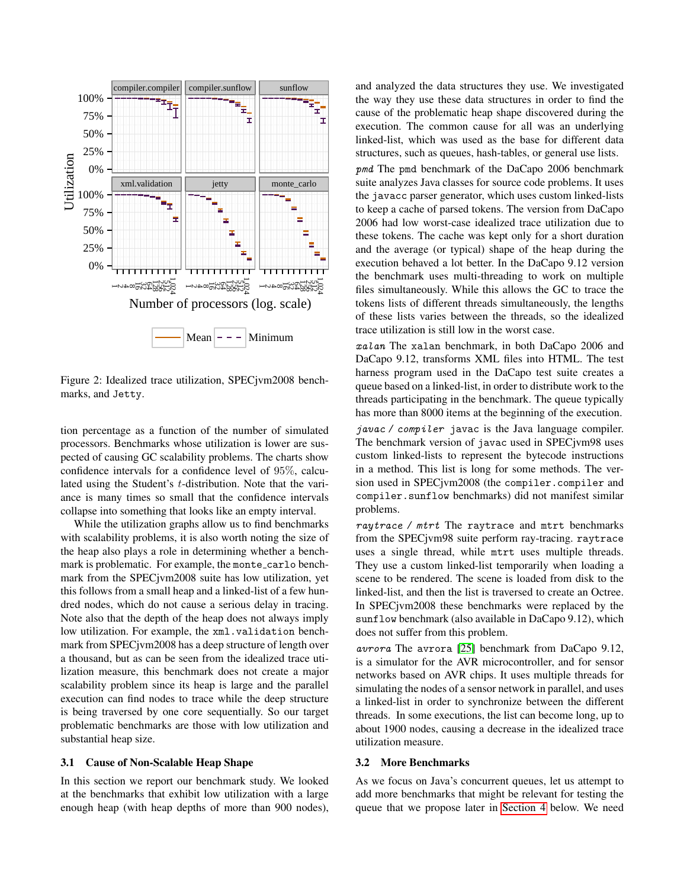<span id="page-2-0"></span>

Figure 2: Idealized trace utilization, SPECjvm2008 benchmarks, and Jetty.

tion percentage as a function of the number of simulated processors. Benchmarks whose utilization is lower are suspected of causing GC scalability problems. The charts show confidence intervals for a confidence level of 95%, calculated using the Student's t-distribution. Note that the variance is many times so small that the confidence intervals collapse into something that looks like an empty interval.

While the utilization graphs allow us to find benchmarks with scalability problems, it is also worth noting the size of the heap also plays a role in determining whether a benchmark is problematic. For example, the monte<sub>carlo</sub> benchmark from the SPECjvm2008 suite has low utilization, yet this follows from a small heap and a linked-list of a few hundred nodes, which do not cause a serious delay in tracing. Note also that the depth of the heap does not always imply low utilization. For example, the xml.validation benchmark from SPECjvm2008 has a deep structure of length over a thousand, but as can be seen from the idealized trace utilization measure, this benchmark does not create a major scalability problem since its heap is large and the parallel execution can find nodes to trace while the deep structure is being traversed by one core sequentially. So our target problematic benchmarks are those with low utilization and substantial heap size.

#### 3.1 Cause of Non-Scalable Heap Shape

In this section we report our benchmark study. We looked at the benchmarks that exhibit low utilization with a large enough heap (with heap depths of more than 900 nodes),

and analyzed the data structures they use. We investigated the way they use these data structures in order to find the cause of the problematic heap shape discovered during the execution. The common cause for all was an underlying linked-list, which was used as the base for different data structures, such as queues, hash-tables, or general use lists.

pmd The pmd benchmark of the DaCapo 2006 benchmark suite analyzes Java classes for source code problems. It uses the javacc parser generator, which uses custom linked-lists to keep a cache of parsed tokens. The version from DaCapo 2006 had low worst-case idealized trace utilization due to these tokens. The cache was kept only for a short duration and the average (or typical) shape of the heap during the execution behaved a lot better. In the DaCapo 9.12 version the benchmark uses multi-threading to work on multiple files simultaneously. While this allows the GC to trace the tokens lists of different threads simultaneously, the lengths of these lists varies between the threads, so the idealized trace utilization is still low in the worst case.

xalan The xalan benchmark, in both DaCapo 2006 and DaCapo 9.12, transforms XML files into HTML. The test harness program used in the DaCapo test suite creates a queue based on a linked-list, in order to distribute work to the threads participating in the benchmark. The queue typically has more than 8000 items at the beginning of the execution.

javac */* compiler javac is the Java language compiler. The benchmark version of javac used in SPECjvm98 uses custom linked-lists to represent the bytecode instructions in a method. This list is long for some methods. The version used in SPECjvm2008 (the compiler.compiler and compiler.sunflow benchmarks) did not manifest similar problems.

raytrace */* mtrt The raytrace and mtrt benchmarks from the SPECjvm98 suite perform ray-tracing. raytrace uses a single thread, while mtrt uses multiple threads. They use a custom linked-list temporarily when loading a scene to be rendered. The scene is loaded from disk to the linked-list, and then the list is traversed to create an Octree. In SPECjvm2008 these benchmarks were replaced by the sunflow benchmark (also available in DaCapo 9.12), which does not suffer from this problem.

avrora The avrora [\[25\]](#page-7-17) benchmark from DaCapo 9.12, is a simulator for the AVR microcontroller, and for sensor networks based on AVR chips. It uses multiple threads for simulating the nodes of a sensor network in parallel, and uses a linked-list in order to synchronize between the different threads. In some executions, the list can become long, up to about 1900 nodes, causing a decrease in the idealized trace utilization measure.

#### 3.2 More Benchmarks

As we focus on Java's concurrent queues, let us attempt to add more benchmarks that might be relevant for testing the queue that we propose later in [Section 4](#page-3-0) below. We need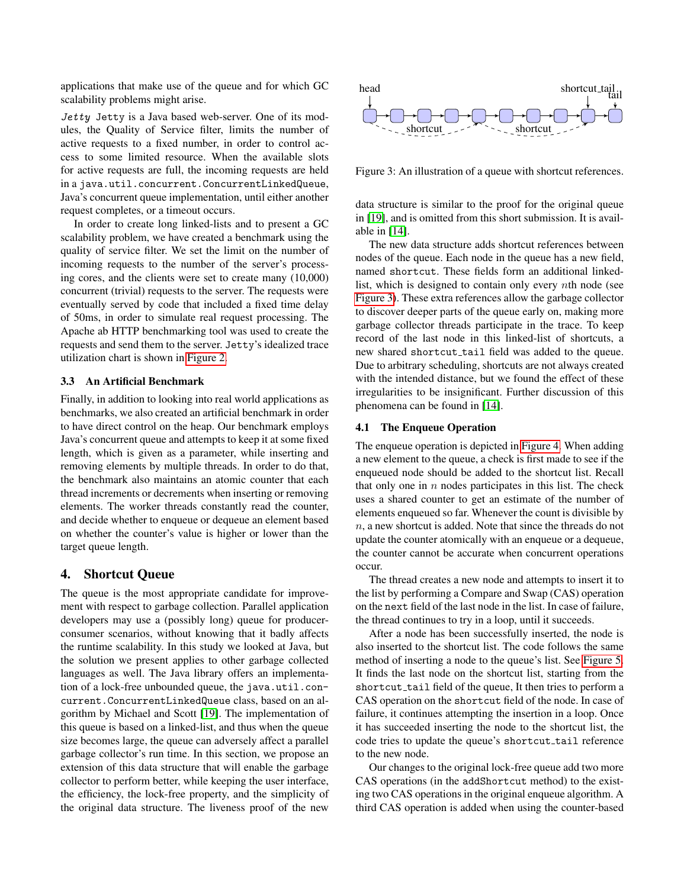applications that make use of the queue and for which GC scalability problems might arise.

Jetty Jetty is a Java based web-server. One of its modules, the Quality of Service filter, limits the number of active requests to a fixed number, in order to control access to some limited resource. When the available slots for active requests are full, the incoming requests are held in a java.util.concurrent.ConcurrentLinkedQueue, Java's concurrent queue implementation, until either another request completes, or a timeout occurs.

In order to create long linked-lists and to present a GC scalability problem, we have created a benchmark using the quality of service filter. We set the limit on the number of incoming requests to the number of the server's processing cores, and the clients were set to create many (10,000) concurrent (trivial) requests to the server. The requests were eventually served by code that included a fixed time delay of 50ms, in order to simulate real request processing. The Apache ab HTTP benchmarking tool was used to create the requests and send them to the server. Jetty's idealized trace utilization chart is shown in [Figure 2.](#page-2-0)

## 3.3 An Artificial Benchmark

Finally, in addition to looking into real world applications as benchmarks, we also created an artificial benchmark in order to have direct control on the heap. Our benchmark employs Java's concurrent queue and attempts to keep it at some fixed length, which is given as a parameter, while inserting and removing elements by multiple threads. In order to do that, the benchmark also maintains an atomic counter that each thread increments or decrements when inserting or removing elements. The worker threads constantly read the counter, and decide whether to enqueue or dequeue an element based on whether the counter's value is higher or lower than the target queue length.

## <span id="page-3-0"></span>4. Shortcut Queue

The queue is the most appropriate candidate for improvement with respect to garbage collection. Parallel application developers may use a (possibly long) queue for producerconsumer scenarios, without knowing that it badly affects the runtime scalability. In this study we looked at Java, but the solution we present applies to other garbage collected languages as well. The Java library offers an implementation of a lock-free unbounded queue, the java.util.concurrent.ConcurrentLinkedQueue class, based on an algorithm by Michael and Scott [\[19\]](#page-7-18). The implementation of this queue is based on a linked-list, and thus when the queue size becomes large, the queue can adversely affect a parallel garbage collector's run time. In this section, we propose an extension of this data structure that will enable the garbage collector to perform better, while keeping the user interface, the efficiency, the lock-free property, and the simplicity of the original data structure. The liveness proof of the new

<span id="page-3-1"></span>

Figure 3: An illustration of a queue with shortcut references.

data structure is similar to the proof for the original queue in [\[19\]](#page-7-18), and is omitted from this short submission. It is available in [\[14\]](#page-7-13).

The new data structure adds shortcut references between nodes of the queue. Each node in the queue has a new field, named shortcut. These fields form an additional linkedlist, which is designed to contain only every nth node (see [Figure 3\)](#page-3-1). These extra references allow the garbage collector to discover deeper parts of the queue early on, making more garbage collector threads participate in the trace. To keep record of the last node in this linked-list of shortcuts, a new shared shortcut\_tail field was added to the queue. Due to arbitrary scheduling, shortcuts are not always created with the intended distance, but we found the effect of these irregularities to be insignificant. Further discussion of this phenomena can be found in [\[14\]](#page-7-13).

#### 4.1 The Enqueue Operation

The enqueue operation is depicted in [Figure 4.](#page-4-1) When adding a new element to the queue, a check is first made to see if the enqueued node should be added to the shortcut list. Recall that only one in  $n$  nodes participates in this list. The check uses a shared counter to get an estimate of the number of elements enqueued so far. Whenever the count is divisible by n, a new shortcut is added. Note that since the threads do not update the counter atomically with an enqueue or a dequeue, the counter cannot be accurate when concurrent operations occur.

The thread creates a new node and attempts to insert it to the list by performing a Compare and Swap (CAS) operation on the next field of the last node in the list. In case of failure, the thread continues to try in a loop, until it succeeds.

After a node has been successfully inserted, the node is also inserted to the shortcut list. The code follows the same method of inserting a node to the queue's list. See [Figure 5.](#page-4-2) It finds the last node on the shortcut list, starting from the shortcut\_tail field of the queue, It then tries to perform a CAS operation on the shortcut field of the node. In case of failure, it continues attempting the insertion in a loop. Once it has succeeded inserting the node to the shortcut list, the code tries to update the queue's shortcut\_tail reference to the new node.

Our changes to the original lock-free queue add two more CAS operations (in the addShortcut method) to the existing two CAS operations in the original enqueue algorithm. A third CAS operation is added when using the counter-based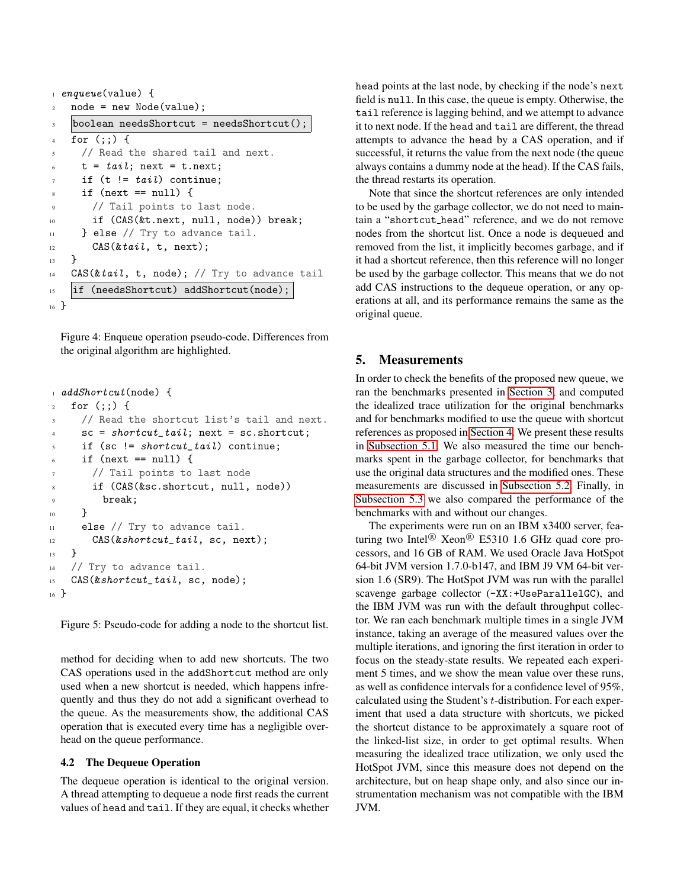```
_1 enqueue(value) {
2 \text{ node} = \text{new Node}(\text{value});boolean needsShortcut = needsShortcut();
4 for (;;) {
5 // Read the shared tail and next.
t = tail; next = t.next;if (t != tail) continue;
     if (next == null) {
       // Tail points to last node.
10 if (CAS(&t.next, null, node)) break;
11 } else // Try to advance tail.
CAS(ktail, t, next);13 }
14 CAS(&tail, t, node); // Try to advance tail
15 if (needsShortcut) addShortcut(node);
16 }
```
Figure 4: Enqueue operation pseudo-code. Differences from the original algorithm are highlighted.

```
1 addShortcut(node) {
2 for (;;) {
3 // Read the shortcut list's tail and next.
      sc = shortcut\_tail; next = sc.shortcut;if (sc != shortcut_tail) continue;
      if (next == null) {
        // Tail points to last node
8 if (CAS(&sc.shortcut, null, node))
          break;
10 }
11 else // Try to advance tail.
12 CAS(&shortcut_tail, sc, next);
13 \frac{}{}{}{}{}{}{}{}{}{}{}{}{}{}_{13} \frac{}{}{}{}{}{}{}{}{}_{13}14 // Try to advance tail.
15 CAS(&shortcut_tail, sc, node);
16 }
```
Figure 5: Pseudo-code for adding a node to the shortcut list.

method for deciding when to add new shortcuts. The two CAS operations used in the addShortcut method are only used when a new shortcut is needed, which happens infrequently and thus they do not add a significant overhead to the queue. As the measurements show, the additional CAS operation that is executed every time has a negligible overhead on the queue performance.

## 4.2 The Dequeue Operation

The dequeue operation is identical to the original version. A thread attempting to dequeue a node first reads the current values of head and tail. If they are equal, it checks whether head points at the last node, by checking if the node's next field is null. In this case, the queue is empty. Otherwise, the tail reference is lagging behind, and we attempt to advance it to next node. If the head and tail are different, the thread attempts to advance the head by a CAS operation, and if successful, it returns the value from the next node (the queue always contains a dummy node at the head). If the CAS fails, the thread restarts its operation.

Note that since the shortcut references are only intended to be used by the garbage collector, we do not need to maintain a "shortcut head" reference, and we do not remove nodes from the shortcut list. Once a node is dequeued and removed from the list, it implicitly becomes garbage, and if it had a shortcut reference, then this reference will no longer be used by the garbage collector. This means that we do not add CAS instructions to the dequeue operation, or any operations at all, and its performance remains the same as the original queue.

# <span id="page-4-0"></span>5. Measurements

In order to check the benefits of the proposed new queue, we ran the benchmarks presented in [Section 3,](#page-1-1) and computed the idealized trace utilization for the original benchmarks and for benchmarks modified to use the queue with shortcut references as proposed in [Section 4.](#page-3-0) We present these results in [Subsection 5.1.](#page-5-0) We also measured the time our benchmarks spent in the garbage collector, for benchmarks that use the original data structures and the modified ones. These measurements are discussed in [Subsection 5.2.](#page-5-1) Finally, in [Subsection 5.3](#page-6-1) we also compared the performance of the benchmarks with and without our changes.

The experiments were run on an IBM x3400 server, featuring two Intel<sup>®</sup> Xeon<sup>®</sup> E5310 1.6 GHz quad core processors, and 16 GB of RAM. We used Oracle Java HotSpot 64-bit JVM version 1.7.0-b147, and IBM J9 VM 64-bit version 1.6 (SR9). The HotSpot JVM was run with the parallel scavenge garbage collector (-XX:+UseParallelGC), and the IBM JVM was run with the default throughput collector. We ran each benchmark multiple times in a single JVM instance, taking an average of the measured values over the multiple iterations, and ignoring the first iteration in order to focus on the steady-state results. We repeated each experiment 5 times, and we show the mean value over these runs, as well as confidence intervals for a confidence level of 95%, calculated using the Student's t-distribution. For each experiment that used a data structure with shortcuts, we picked the shortcut distance to be approximately a square root of the linked-list size, in order to get optimal results. When measuring the idealized trace utilization, we only used the HotSpot JVM, since this measure does not depend on the architecture, but on heap shape only, and also since our instrumentation mechanism was not compatible with the IBM JVM.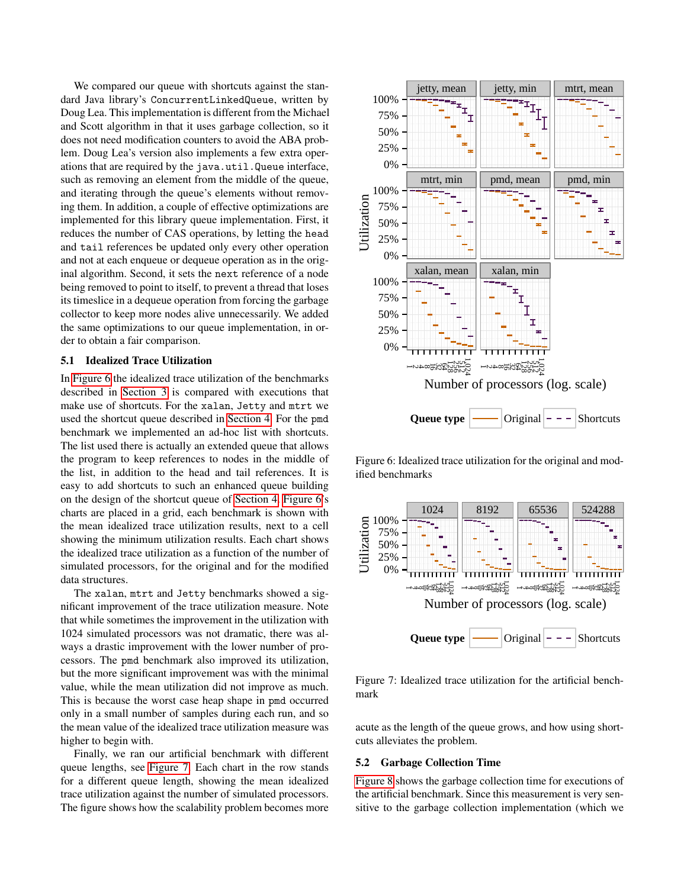We compared our queue with shortcuts against the standard Java library's ConcurrentLinkedQueue, written by Doug Lea. This implementation is different from the Michael and Scott algorithm in that it uses garbage collection, so it does not need modification counters to avoid the ABA problem. Doug Lea's version also implements a few extra operations that are required by the java.util.Queue interface, such as removing an element from the middle of the queue, and iterating through the queue's elements without removing them. In addition, a couple of effective optimizations are implemented for this library queue implementation. First, it reduces the number of CAS operations, by letting the head and tail references be updated only every other operation and not at each enqueue or dequeue operation as in the original algorithm. Second, it sets the next reference of a node being removed to point to itself, to prevent a thread that loses its timeslice in a dequeue operation from forcing the garbage collector to keep more nodes alive unnecessarily. We added the same optimizations to our queue implementation, in order to obtain a fair comparison.

#### <span id="page-5-0"></span>5.1 Idealized Trace Utilization

In [Figure 6](#page-5-2) the idealized trace utilization of the benchmarks described in [Section 3](#page-1-1) is compared with executions that make use of shortcuts. For the xalan, Jetty and mtrt we used the shortcut queue described in [Section 4.](#page-3-0) For the pmd benchmark we implemented an ad-hoc list with shortcuts. The list used there is actually an extended queue that allows the program to keep references to nodes in the middle of the list, in addition to the head and tail references. It is easy to add shortcuts to such an enhanced queue building on the design of the shortcut queue of [Section 4.](#page-3-0) [Figure 6'](#page-5-2)s charts are placed in a grid, each benchmark is shown with the mean idealized trace utilization results, next to a cell showing the minimum utilization results. Each chart shows the idealized trace utilization as a function of the number of simulated processors, for the original and for the modified data structures.

The xalan, mtrt and Jetty benchmarks showed a significant improvement of the trace utilization measure. Note that while sometimes the improvement in the utilization with 1024 simulated processors was not dramatic, there was always a drastic improvement with the lower number of processors. The pmd benchmark also improved its utilization, but the more significant improvement was with the minimal value, while the mean utilization did not improve as much. This is because the worst case heap shape in pmd occurred only in a small number of samples during each run, and so the mean value of the idealized trace utilization measure was higher to begin with.

Finally, we ran our artificial benchmark with different queue lengths, see [Figure 7.](#page-5-3) Each chart in the row stands for a different queue length, showing the mean idealized trace utilization against the number of simulated processors. The figure shows how the scalability problem becomes more

<span id="page-5-2"></span>

Figure 6: Idealized trace utilization for the original and modified benchmarks

<span id="page-5-3"></span>

Figure 7: Idealized trace utilization for the artificial benchmark

acute as the length of the queue grows, and how using shortcuts alleviates the problem.

## <span id="page-5-1"></span>5.2 Garbage Collection Time

[Figure 8](#page-6-2) shows the garbage collection time for executions of the artificial benchmark. Since this measurement is very sensitive to the garbage collection implementation (which we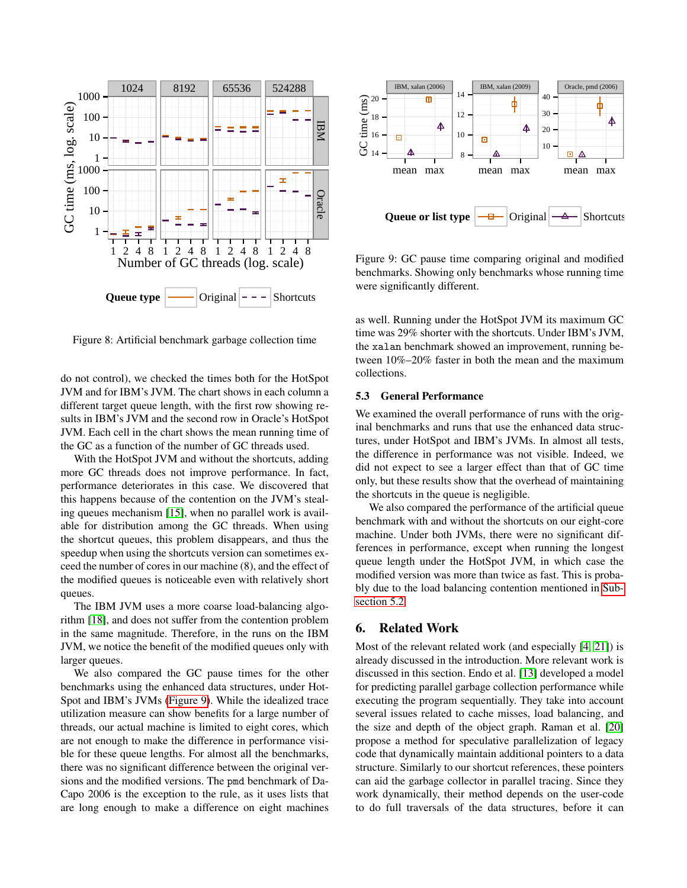<span id="page-6-2"></span>

Figure 8: Artificial benchmark garbage collection time

do not control), we checked the times both for the HotSpot JVM and for IBM's JVM. The chart shows in each column a different target queue length, with the first row showing results in IBM's JVM and the second row in Oracle's HotSpot JVM. Each cell in the chart shows the mean running time of the GC as a function of the number of GC threads used.

With the HotSpot JVM and without the shortcuts, adding more GC threads does not improve performance. In fact, performance deteriorates in this case. We discovered that this happens because of the contention on the JVM's stealing queues mechanism [\[15\]](#page-7-19), when no parallel work is available for distribution among the GC threads. When using the shortcut queues, this problem disappears, and thus the speedup when using the shortcuts version can sometimes exceed the number of cores in our machine (8), and the effect of the modified queues is noticeable even with relatively short queues.

The IBM JVM uses a more coarse load-balancing algorithm [\[18\]](#page-7-20), and does not suffer from the contention problem in the same magnitude. Therefore, in the runs on the IBM JVM, we notice the benefit of the modified queues only with larger queues.

We also compared the GC pause times for the other benchmarks using the enhanced data structures, under Hot-Spot and IBM's JVMs [\(Figure 9\)](#page-6-3). While the idealized trace utilization measure can show benefits for a large number of threads, our actual machine is limited to eight cores, which are not enough to make the difference in performance visible for these queue lengths. For almost all the benchmarks, there was no significant difference between the original versions and the modified versions. The pmd benchmark of Da-Capo 2006 is the exception to the rule, as it uses lists that are long enough to make a difference on eight machines

<span id="page-6-3"></span>

Figure 9: GC pause time comparing original and modified benchmarks. Showing only benchmarks whose running time were significantly different.

as well. Running under the HotSpot JVM its maximum GC time was 29% shorter with the shortcuts. Under IBM's JVM, the xalan benchmark showed an improvement, running between 10%–20% faster in both the mean and the maximum collections.

#### <span id="page-6-1"></span>5.3 General Performance

We examined the overall performance of runs with the original benchmarks and runs that use the enhanced data structures, under HotSpot and IBM's JVMs. In almost all tests, the difference in performance was not visible. Indeed, we did not expect to see a larger effect than that of GC time only, but these results show that the overhead of maintaining the shortcuts in the queue is negligible.

We also compared the performance of the artificial queue benchmark with and without the shortcuts on our eight-core machine. Under both JVMs, there were no significant differences in performance, except when running the longest queue length under the HotSpot JVM, in which case the modified version was more than twice as fast. This is probably due to the load balancing contention mentioned in [Sub](#page-5-1)[section 5.2.](#page-5-1)

# <span id="page-6-0"></span>6. Related Work

Most of the relevant related work (and especially [\[4,](#page-7-9) [21\]](#page-7-7)) is already discussed in the introduction. More relevant work is discussed in this section. Endo et al. [\[13\]](#page-7-21) developed a model for predicting parallel garbage collection performance while executing the program sequentially. They take into account several issues related to cache misses, load balancing, and the size and depth of the object graph. Raman et al. [\[20\]](#page-7-22) propose a method for speculative parallelization of legacy code that dynamically maintain additional pointers to a data structure. Similarly to our shortcut references, these pointers can aid the garbage collector in parallel tracing. Since they work dynamically, their method depends on the user-code to do full traversals of the data structures, before it can